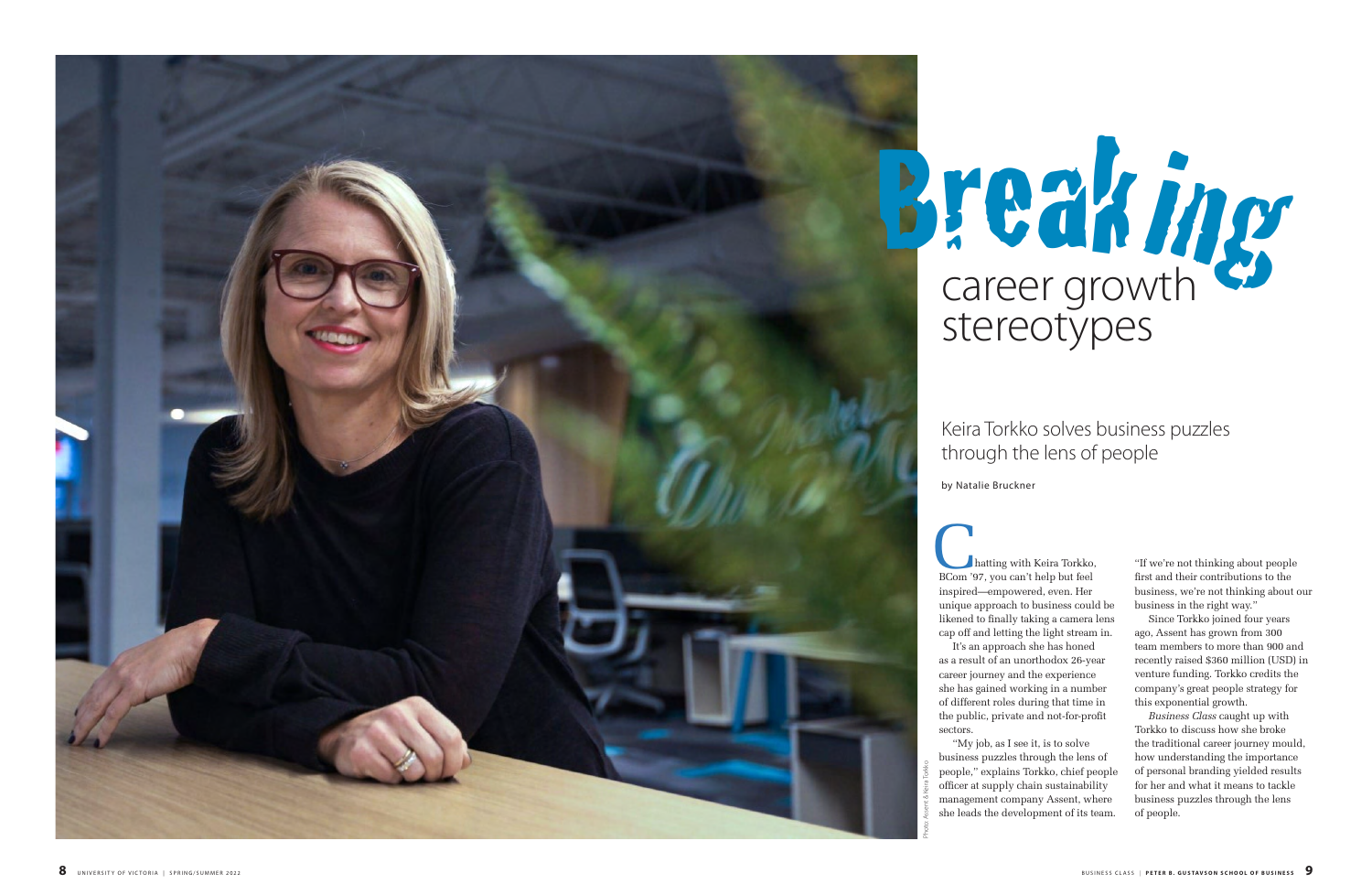hatting with Keira Torkko, **BCom** '97, you can't help but feel inspired—empowered, even. Her unique approach to business could be likened to finally taking a camera lens cap off and letting the light stream in. It's an approach she has honed as a result of an unorthodox 26-year career journey and the experience she has gained working in a number of different roles during that time in the public, private and not-for-profit

sectors.

"My job, as I see it, is to solve business puzzles through the lens of people," explains Torkko, chief people officer at supply chain sustainability management company Assent, where she leads the development of its team.

# career growth stereotypes Break ing

"If we're not thinking about people first and their contributions to the business, we're not thinking about our business in the right way."

Since Torkko joined four years ago, Assent has grown from 300 team members to more than 900 and recently raised \$360 million (USD) in venture funding. Torkko credits the company's great people strategy for this exponential growth.

*Business Class* caught up with Torkko to discuss how she broke the traditional career journey mould, how understanding the importance of personal branding yielded results for her and what it means to tackle business puzzles through the lens of people.

## Keira Torkko solves business puzzles through the lens of people

by Natalie Bruckner